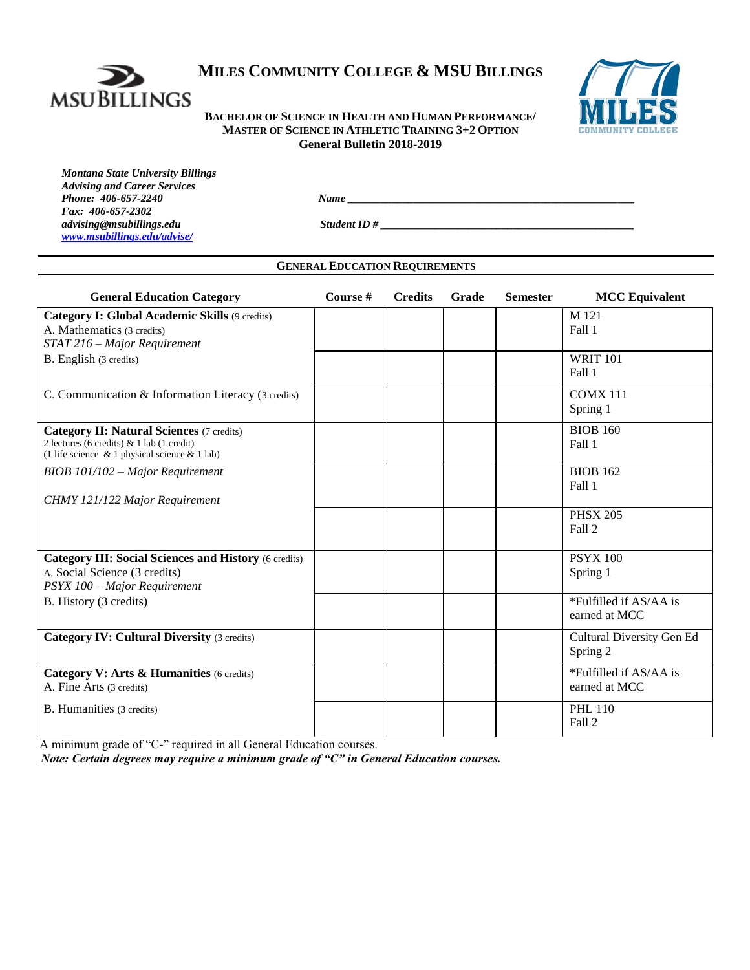

# **MILES COMMUNITY COLLEGE & MSU BILLINGS**

**BACHELOR OF SCIENCE IN HEALTH AND HUMAN PERFORMANCE/ MASTER OF SCIENCE IN ATHLETIC TRAINING 3+2 OPTION General Bulletin 2018-2019**



*Montana State University Billings Advising and Career Services Fax: 406-657-2302 [www.msubillings.edu/advise/](http://www.msubillings.edu/advise/)*

*Phone: 406-657-2240 Name \_\_\_\_\_\_\_\_\_\_\_\_\_\_\_\_\_\_\_\_\_\_\_\_\_\_\_\_\_\_\_\_\_\_\_\_\_\_\_\_\_\_\_\_\_\_\_\_\_\_\_\_*

*advising@msubillings.edu Student ID # \_\_\_\_\_\_\_\_\_\_\_\_\_\_\_\_\_\_\_\_\_\_\_\_\_\_\_\_\_\_\_\_\_\_\_\_\_\_\_\_\_\_\_\_\_\_*

# **GENERAL EDUCATION REQUIREMENTS**

| <b>General Education Category</b>                                                                                                              | Course # | <b>Credits</b> | Grade | <b>Semester</b> | <b>MCC</b> Equivalent                   |
|------------------------------------------------------------------------------------------------------------------------------------------------|----------|----------------|-------|-----------------|-----------------------------------------|
| Category I: Global Academic Skills (9 credits)<br>A. Mathematics (3 credits)<br>STAT 216 - Major Requirement                                   |          |                |       |                 | M 121<br>Fall 1                         |
| B. English (3 credits)                                                                                                                         |          |                |       |                 | <b>WRIT 101</b><br>Fall 1               |
| C. Communication & Information Literacy (3 credits)                                                                                            |          |                |       |                 | <b>COMX 111</b><br>Spring 1             |
| <b>Category II: Natural Sciences (7 credits)</b><br>2 lectures (6 credits) & 1 lab (1 credit)<br>(1 life science & 1 physical science & 1 lab) |          |                |       |                 | <b>BIOB 160</b><br>Fall 1               |
| BIOB 101/102 - Major Requirement<br>CHMY 121/122 Major Requirement                                                                             |          |                |       |                 | <b>BIOB 162</b><br>Fall 1               |
|                                                                                                                                                |          |                |       |                 | <b>PHSX 205</b><br>Fall 2               |
| <b>Category III: Social Sciences and History (6 credits)</b><br>A. Social Science (3 credits)<br>PSYX 100 - Major Requirement                  |          |                |       |                 | <b>PSYX 100</b><br>Spring 1             |
| B. History (3 credits)                                                                                                                         |          |                |       |                 | *Fulfilled if AS/AA is<br>earned at MCC |
| <b>Category IV: Cultural Diversity (3 credits)</b>                                                                                             |          |                |       |                 | Cultural Diversity Gen Ed<br>Spring 2   |
| Category V: Arts & Humanities (6 credits)<br>A. Fine Arts (3 credits)                                                                          |          |                |       |                 | *Fulfilled if AS/AA is<br>earned at MCC |
| B. Humanities (3 credits)                                                                                                                      |          |                |       |                 | <b>PHL 110</b><br>Fall 2                |

A minimum grade of "C-" required in all General Education courses.

*Note: Certain degrees may require a minimum grade of "C" in General Education courses.*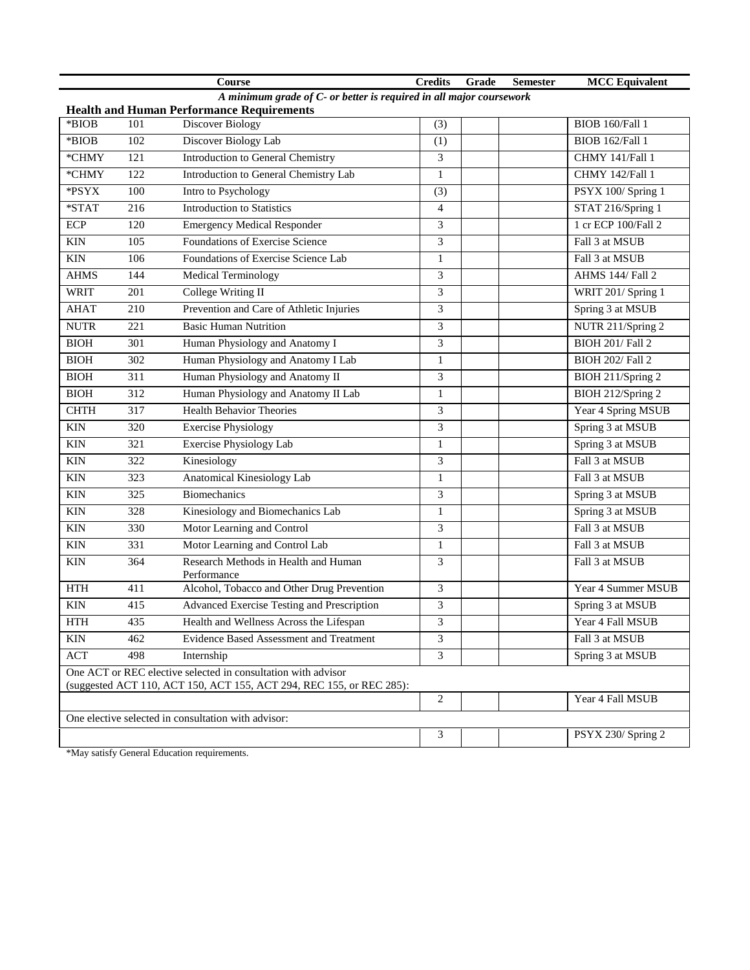|                                                                                                                                       |                  | <b>Course</b>                                       | <b>Credits</b>              | Grade | <b>Semester</b> | <b>MCC</b> Equivalent   |
|---------------------------------------------------------------------------------------------------------------------------------------|------------------|-----------------------------------------------------|-----------------------------|-------|-----------------|-------------------------|
| A minimum grade of C- or better is required in all major coursework                                                                   |                  |                                                     |                             |       |                 |                         |
| *BIOB                                                                                                                                 |                  | <b>Health and Human Performance Requirements</b>    |                             |       |                 |                         |
|                                                                                                                                       | 101              | Discover Biology                                    | (3)                         |       |                 | BIOB 160/Fall 1         |
| $*$ BIOB                                                                                                                              | 102              | Discover Biology Lab                                | (1)                         |       |                 | BIOB 162/Fall 1         |
| *CHMY                                                                                                                                 | $\overline{121}$ | <b>Introduction to General Chemistry</b>            | 3                           |       |                 | CHMY 141/Fall 1         |
| *CHMY                                                                                                                                 | 122              | Introduction to General Chemistry Lab               | $\mathbf{1}$                |       |                 | CHMY 142/Fall 1         |
| *PSYX                                                                                                                                 | 100              | Intro to Psychology                                 | (3)                         |       |                 | PSYX 100/Spring 1       |
| $*STAT$                                                                                                                               | 216              | <b>Introduction to Statistics</b>                   | $\overline{4}$              |       |                 | STAT 216/Spring 1       |
| <b>ECP</b>                                                                                                                            | 120              | <b>Emergency Medical Responder</b>                  | 3                           |       |                 | 1 cr ECP 100/Fall 2     |
| <b>KIN</b>                                                                                                                            | 105              | Foundations of Exercise Science                     | $\ensuremath{\mathfrak{Z}}$ |       |                 | Fall 3 at MSUB          |
| <b>KIN</b>                                                                                                                            | 106              | Foundations of Exercise Science Lab                 | $\mathbf{1}$                |       |                 | Fall 3 at MSUB          |
| <b>AHMS</b>                                                                                                                           | 144              | <b>Medical Terminology</b>                          | 3                           |       |                 | AHMS 144/ Fall 2        |
| <b>WRIT</b>                                                                                                                           | 201              | College Writing II                                  | 3                           |       |                 | WRIT 201/ Spring 1      |
| <b>AHAT</b>                                                                                                                           | 210              | Prevention and Care of Athletic Injuries            | $\overline{3}$              |       |                 | Spring 3 at MSUB        |
| $\ensuremath{\text{NUTR}}$                                                                                                            | 221              | <b>Basic Human Nutrition</b>                        | 3                           |       |                 | NUTR 211/Spring 2       |
| <b>BIOH</b>                                                                                                                           | 301              | Human Physiology and Anatomy I                      | 3                           |       |                 | <b>BIOH 201/ Fall 2</b> |
| <b>BIOH</b>                                                                                                                           | 302              | Human Physiology and Anatomy I Lab                  | $\mathbf{1}$                |       |                 | <b>BIOH 202/ Fall 2</b> |
| <b>BIOH</b>                                                                                                                           | 311              | Human Physiology and Anatomy II                     | 3                           |       |                 | BIOH 211/Spring 2       |
| <b>BIOH</b>                                                                                                                           | 312              | Human Physiology and Anatomy II Lab                 | $\mathbf{1}$                |       |                 | BIOH 212/Spring 2       |
| <b>CHTH</b>                                                                                                                           | 317              | <b>Health Behavior Theories</b>                     | 3                           |       |                 | Year 4 Spring MSUB      |
| $\mbox{KIN}$                                                                                                                          | 320              | <b>Exercise Physiology</b>                          | 3                           |       |                 | Spring 3 at MSUB        |
| $\mathop{\rm KIN}\nolimits$                                                                                                           | 321              | Exercise Physiology Lab                             | $\mathbf{1}$                |       |                 | Spring 3 at MSUB        |
| $\mathop{\rm KIN}\nolimits$                                                                                                           | 322              | Kinesiology                                         | $\overline{3}$              |       |                 | Fall 3 at MSUB          |
| $\mathop{\rm KIN}\nolimits$                                                                                                           | 323              | Anatomical Kinesiology Lab                          | $\,1$                       |       |                 | Fall 3 at MSUB          |
| <b>KIN</b>                                                                                                                            | 325              | <b>Biomechanics</b>                                 | 3                           |       |                 | Spring 3 at MSUB        |
| <b>KIN</b>                                                                                                                            | 328              | Kinesiology and Biomechanics Lab                    | $\mathbf{1}$                |       |                 | Spring 3 at MSUB        |
| <b>KIN</b>                                                                                                                            | 330              | Motor Learning and Control                          | 3                           |       |                 | Fall 3 at MSUB          |
| <b>KIN</b>                                                                                                                            | 331              | Motor Learning and Control Lab                      | $\mathbf{1}$                |       |                 | Fall 3 at MSUB          |
| <b>KIN</b>                                                                                                                            | 364              | Research Methods in Health and Human<br>Performance | 3                           |       |                 | Fall 3 at MSUB          |
| <b>HTH</b>                                                                                                                            | 411              | Alcohol, Tobacco and Other Drug Prevention          | 3                           |       |                 | Year 4 Summer MSUB      |
| <b>KIN</b>                                                                                                                            | 415              | Advanced Exercise Testing and Prescription          | $\overline{3}$              |       |                 | Spring 3 at MSUB        |
| <b>HTH</b>                                                                                                                            | 435              | Health and Wellness Across the Lifespan             | 3                           |       |                 | Year 4 Fall MSUB        |
| KIN                                                                                                                                   | 462              | Evidence Based Assessment and Treatment             | 3                           |       |                 | Fall 3 at MSUB          |
| <b>ACT</b>                                                                                                                            | 498              | Internship                                          | 3                           |       |                 | Spring 3 at MSUB        |
| One ACT or REC elective selected in consultation with advisor<br>(suggested ACT 110, ACT 150, ACT 155, ACT 294, REC 155, or REC 285): |                  |                                                     |                             |       |                 |                         |
|                                                                                                                                       |                  |                                                     | 2                           |       |                 | Year 4 Fall MSUB        |
| One elective selected in consultation with advisor:                                                                                   |                  |                                                     |                             |       |                 |                         |
|                                                                                                                                       |                  |                                                     | 3                           |       |                 | PSYX 230/Spring 2       |

\*May satisfy General Education requirements.